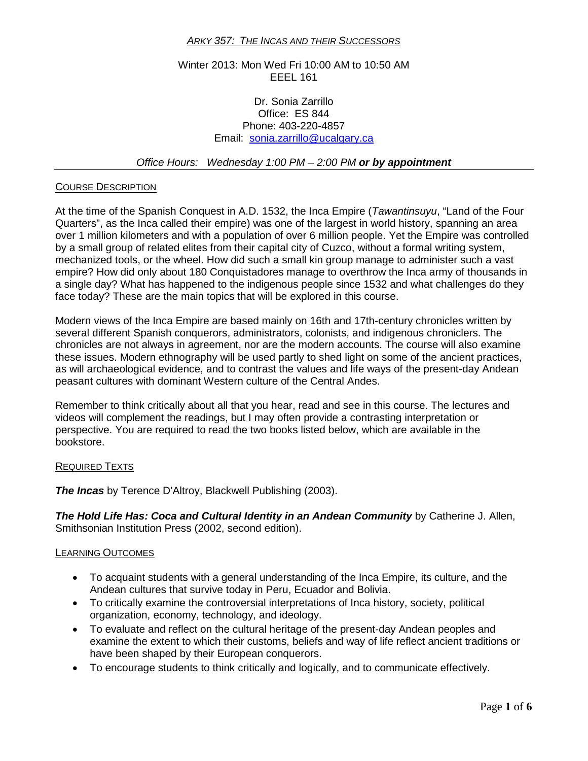## *ARKY 357: THE INCAS AND THEIR SUCCESSORS*

# Winter 2013: Mon Wed Fri 10:00 AM to 10:50 AM EEEL 161

## Dr. Sonia Zarrillo Office: ES 844 Phone: 403-220-4857 Email: [sonia.zarrillo@ucalgary.ca](mailto:sonia.zarrillo@ucalgary.ca)

## *Office Hours: Wednesday 1:00 PM – 2:00 PM or by appointment*

# COURSE DESCRIPTION

At the time of the Spanish Conquest in A.D. 1532, the Inca Empire (*Tawantinsuyu*, "Land of the Four Quarters", as the Inca called their empire) was one of the largest in world history, spanning an area over 1 million kilometers and with a population of over 6 million people. Yet the Empire was controlled by a small group of related elites from their capital city of Cuzco, without a formal writing system, mechanized tools, or the wheel. How did such a small kin group manage to administer such a vast empire? How did only about 180 Conquistadores manage to overthrow the Inca army of thousands in a single day? What has happened to the indigenous people since 1532 and what challenges do they face today? These are the main topics that will be explored in this course.

Modern views of the Inca Empire are based mainly on 16th and 17th-century chronicles written by several different Spanish conquerors, administrators, colonists, and indigenous chroniclers. The chronicles are not always in agreement, nor are the modern accounts. The course will also examine these issues. Modern ethnography will be used partly to shed light on some of the ancient practices, as will archaeological evidence, and to contrast the values and life ways of the present-day Andean peasant cultures with dominant Western culture of the Central Andes.

Remember to think critically about all that you hear, read and see in this course. The lectures and videos will complement the readings, but I may often provide a contrasting interpretation or perspective. You are required to read the two books listed below, which are available in the bookstore.

### REQUIRED TEXTS

*The Incas* by Terence D'Altroy, Blackwell Publishing (2003).

*The Hold Life Has: Coca and Cultural Identity in an Andean Community* by Catherine J. Allen, Smithsonian Institution Press (2002, second edition).

### LEARNING OUTCOMES

- To acquaint students with a general understanding of the Inca Empire, its culture, and the Andean cultures that survive today in Peru, Ecuador and Bolivia.
- To critically examine the controversial interpretations of Inca history, society, political organization, economy, technology, and ideology.
- To evaluate and reflect on the cultural heritage of the present-day Andean peoples and examine the extent to which their customs, beliefs and way of life reflect ancient traditions or have been shaped by their European conquerors.
- To encourage students to think critically and logically, and to communicate effectively.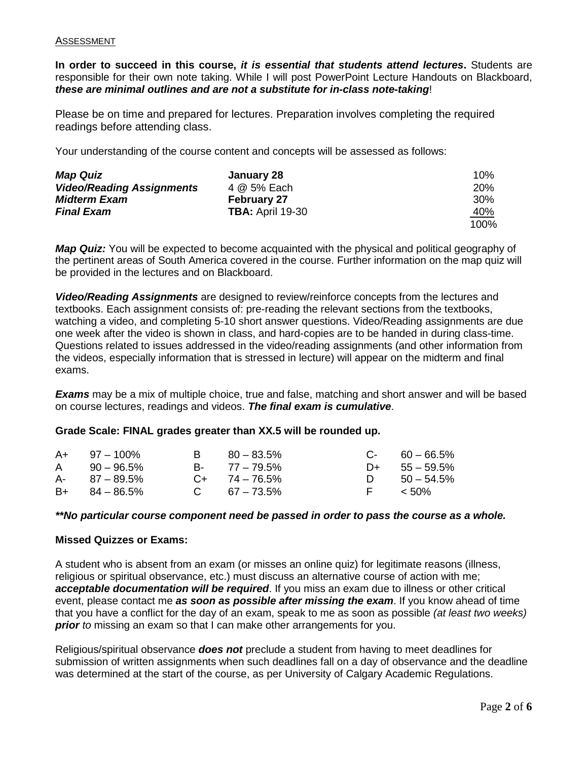### ASSESSMENT

**In order to succeed in this course,** *it is essential that students attend lectures***.** Students are responsible for their own note taking. While I will post PowerPoint Lecture Handouts on Blackboard, *these are minimal outlines and are not a substitute for in-class note-taking*!

Please be on time and prepared for lectures. Preparation involves completing the required readings before attending class.

Your understanding of the course content and concepts will be assessed as follows:

| <b>Map Quiz</b>                  | January 28              | $10\%$     |
|----------------------------------|-------------------------|------------|
| <b>Video/Reading Assignments</b> | 4 @ 5% Each             | <b>20%</b> |
| <b>Midterm Exam</b>              | <b>February 27</b>      | 30%        |
| <b>Final Exam</b>                | <b>TBA: April 19-30</b> | <u>40%</u> |
|                                  |                         | 100%       |

*Map Quiz:* You will be expected to become acquainted with the physical and political geography of the pertinent areas of South America covered in the course. Further information on the map quiz will be provided in the lectures and on Blackboard.

*Video/Reading Assignments* are designed to review/reinforce concepts from the lectures and textbooks. Each assignment consists of: pre-reading the relevant sections from the textbooks, watching a video, and completing 5-10 short answer questions. Video/Reading assignments are due one week after the video is shown in class, and hard-copies are to be handed in during class-time. Questions related to issues addressed in the video/reading assignments (and other information from the videos, especially information that is stressed in lecture) will appear on the midterm and final exams.

*Exams* may be a mix of multiple choice, true and false, matching and short answer and will be based on course lectures, readings and videos. *The final exam is cumulative*.

## **Grade Scale: FINAL grades greater than XX.5 will be rounded up.**

| $A+$ 97 - 100%    | $B = 80 - 83.5\%$  | $C - 60 - 66.5\%$ |
|-------------------|--------------------|-------------------|
| $A = 90 - 96.5\%$ | B- 77 – 79.5%      | $D+ 55 - 59.5\%$  |
| $A - 87 - 89.5\%$ | $C_{+}$ 74 – 76.5% | $D = 50 - 54.5\%$ |
| $B+ 84 - 86.5%$   | $C = 67 - 73.5\%$  | F < 50%           |

### *\*\*No particular course component need be passed in order to pass the course as a whole.*

### **Missed Quizzes or Exams:**

A student who is absent from an exam (or misses an online quiz) for legitimate reasons (illness, religious or spiritual observance, etc.) must discuss an alternative course of action with me; *acceptable documentation will be required*. If you miss an exam due to illness or other critical event, please contact me *as soon as possible after missing the exam*. If you know ahead of time that you have a conflict for the day of an exam, speak to me as soon as possible *(at least two weeks) prior* to missing an exam so that I can make other arrangements for you.

Religious/spiritual observance *does not* preclude a student from having to meet deadlines for submission of written assignments when such deadlines fall on a day of observance and the deadline was determined at the start of the course, as per University of Calgary Academic Regulations.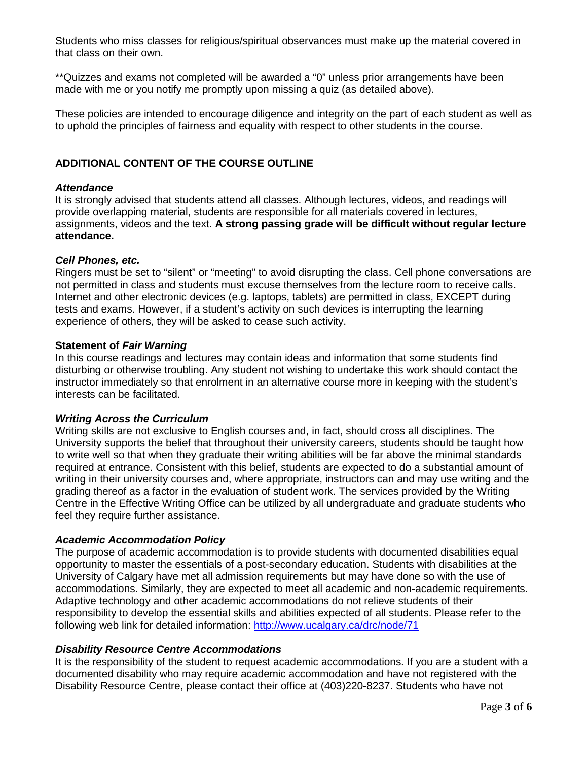Students who miss classes for religious/spiritual observances must make up the material covered in that class on their own.

\*\*Quizzes and exams not completed will be awarded a "0" unless prior arrangements have been made with me or you notify me promptly upon missing a quiz (as detailed above).

These policies are intended to encourage diligence and integrity on the part of each student as well as to uphold the principles of fairness and equality with respect to other students in the course.

# **ADDITIONAL CONTENT OF THE COURSE OUTLINE**

### *Attendance*

It is strongly advised that students attend all classes. Although lectures, videos, and readings will provide overlapping material, students are responsible for all materials covered in lectures, assignments, videos and the text. **A strong passing grade will be difficult without regular lecture attendance.**

### *Cell Phones, etc.*

Ringers must be set to "silent" or "meeting" to avoid disrupting the class. Cell phone conversations are not permitted in class and students must excuse themselves from the lecture room to receive calls. Internet and other electronic devices (e.g. laptops, tablets) are permitted in class, EXCEPT during tests and exams. However, if a student's activity on such devices is interrupting the learning experience of others, they will be asked to cease such activity.

### **Statement of** *Fair Warning*

In this course readings and lectures may contain ideas and information that some students find disturbing or otherwise troubling. Any student not wishing to undertake this work should contact the instructor immediately so that enrolment in an alternative course more in keeping with the student's interests can be facilitated.

## *Writing Across the Curriculum*

Writing skills are not exclusive to English courses and, in fact, should cross all disciplines. The University supports the belief that throughout their university careers, students should be taught how to write well so that when they graduate their writing abilities will be far above the minimal standards required at entrance. Consistent with this belief, students are expected to do a substantial amount of writing in their university courses and, where appropriate, instructors can and may use writing and the grading thereof as a factor in the evaluation of student work. The services provided by the Writing Centre in the Effective Writing Office can be utilized by all undergraduate and graduate students who feel they require further assistance.

## *Academic Accommodation Policy*

The purpose of academic accommodation is to provide students with documented disabilities equal opportunity to master the essentials of a post-secondary education. Students with disabilities at the University of Calgary have met all admission requirements but may have done so with the use of accommodations. Similarly, they are expected to meet all academic and non-academic requirements. Adaptive technology and other academic accommodations do not relieve students of their responsibility to develop the essential skills and abilities expected of all students. Please refer to the following web link for detailed information:<http://www.ucalgary.ca/drc/node/71>

### *Disability Resource Centre Accommodations*

It is the responsibility of the student to request academic accommodations. If you are a student with a documented disability who may require academic accommodation and have not registered with the Disability Resource Centre, please contact their office at (403)220-8237. Students who have not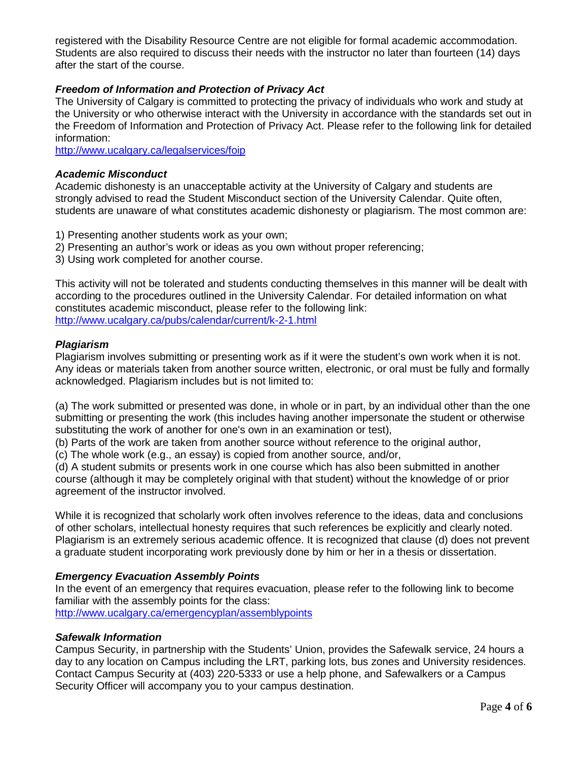registered with the Disability Resource Centre are not eligible for formal academic accommodation. Students are also required to discuss their needs with the instructor no later than fourteen (14) days after the start of the course.

# *Freedom of Information and Protection of Privacy Act*

The University of Calgary is committed to protecting the privacy of individuals who work and study at the University or who otherwise interact with the University in accordance with the standards set out in the Freedom of Information and Protection of Privacy Act. Please refer to the following link for detailed information:

<http://www.ucalgary.ca/legalservices/foip>

# *Academic Misconduct*

Academic dishonesty is an unacceptable activity at the University of Calgary and students are strongly advised to read the Student Misconduct section of the University Calendar. Quite often, students are unaware of what constitutes academic dishonesty or plagiarism. The most common are:

- 1) Presenting another students work as your own;
- 2) Presenting an author's work or ideas as you own without proper referencing;
- 3) Using work completed for another course.

This activity will not be tolerated and students conducting themselves in this manner will be dealt with according to the procedures outlined in the University Calendar. For detailed information on what constitutes academic misconduct, please refer to the following link: <http://www.ucalgary.ca/pubs/calendar/current/k-2-1.html>

# *Plagiarism*

Plagiarism involves submitting or presenting work as if it were the student's own work when it is not. Any ideas or materials taken from another source written, electronic, or oral must be fully and formally acknowledged. Plagiarism includes but is not limited to:

(a) The work submitted or presented was done, in whole or in part, by an individual other than the one submitting or presenting the work (this includes having another impersonate the student or otherwise substituting the work of another for one's own in an examination or test),

(b) Parts of the work are taken from another source without reference to the original author,

(c) The whole work (e.g., an essay) is copied from another source, and/or,

(d) A student submits or presents work in one course which has also been submitted in another course (although it may be completely original with that student) without the knowledge of or prior agreement of the instructor involved.

While it is recognized that scholarly work often involves reference to the ideas, data and conclusions of other scholars, intellectual honesty requires that such references be explicitly and clearly noted. Plagiarism is an extremely serious academic offence. It is recognized that clause (d) does not prevent a graduate student incorporating work previously done by him or her in a thesis or dissertation.

# *Emergency Evacuation Assembly Points*

In the event of an emergency that requires evacuation, please refer to the following link to become familiar with the assembly points for the class:

<http://www.ucalgary.ca/emergencyplan/assemblypoints>

## *Safewalk Information*

Campus Security, in partnership with the Students' Union, provides the Safewalk service, 24 hours a day to any location on Campus including the LRT, parking lots, bus zones and University residences. Contact Campus Security at (403) 220-5333 or use a help phone, and Safewalkers or a Campus Security Officer will accompany you to your campus destination.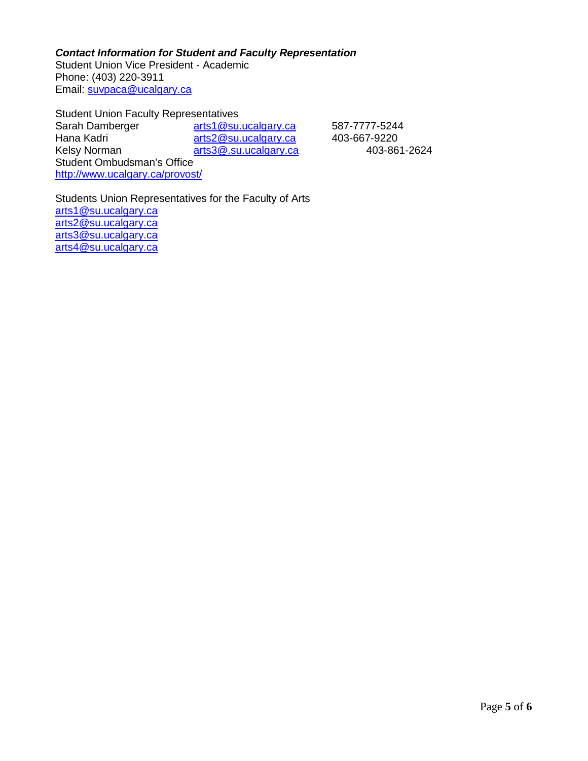*Contact Information for Student and Faculty Representation* Student Union Vice President - Academic Phone: (403) 220-3911 Email: [suvpaca@ucalgary.ca](mailto:suvpaca@ucalgary.ca)

Student Union Faculty Representatives Sarah Damberger [arts1@su.ucalgary.ca](mailto:arts1@su.ucalgary.ca) 587-7777-5244<br>
Hana Kadri arts2@su.ucalgary.ca 403-667-9220 Hana Kadri <sup>2</sup> 2015 M[arts2@su.ucalgary.ca](mailto:arts2@su.ucalgary.ca) 403-667-9220<br>
Kelsy Norman 2015 Marts3@.su.ucalgary.ca 403-861-2624 [arts3@.su.ucalgary.ca](mailto:arts3@.su.ucalgary.ca) Student Ombudsman's Office <http://www.ucalgary.ca/provost/>

Students Union Representatives for the Faculty of Arts [arts1@su.ucalgary.ca](mailto:arts1@su.ucalgary.ca) [arts2@su.ucalgary.ca](mailto:arts2@su.ucalgary.ca) [arts3@su.ucalgary.ca](mailto:arts3@su.ucalgary.ca) [arts4@su.ucalgary.ca](mailto:arts4@su.ucalgary.ca)